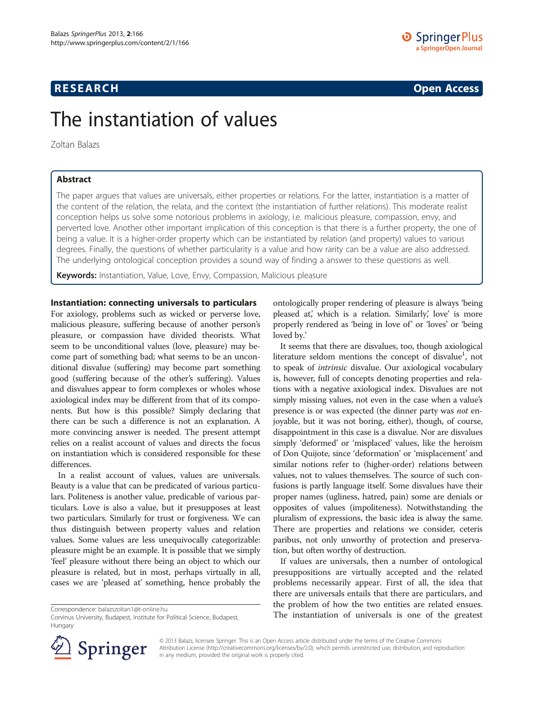## **RESEARCH RESEARCH CONSUMING ACCESS**

# The instantiation of values

Zoltan Balazs

### Abstract

The paper argues that values are universals, either properties or relations. For the latter, instantiation is a matter of the content of the relation, the relata, and the context (the instantiation of further relations). This moderate realist conception helps us solve some notorious problems in axiology, i.e. malicious pleasure, compassion, envy, and perverted love. Another other important implication of this conception is that there is a further property, the one of being a value. It is a higher-order property which can be instantiated by relation (and property) values to various degrees. Finally, the questions of whether particularity is a value and how rarity can be a value are also addressed. The underlying ontological conception provides a sound way of finding a answer to these questions as well.

Keywords: Instantiation, Value, Love, Envy, Compassion, Malicious pleasure

#### Instantiation: connecting universals to particulars

For axiology, problems such as wicked or perverse love, malicious pleasure, suffering because of another person's pleasure, or compassion have divided theorists. What seem to be unconditional values (love, pleasure) may become part of something bad; what seems to be an unconditional disvalue (suffering) may become part something good (suffering because of the other's suffering). Values and disvalues appear to form complexes or wholes whose axiological index may be different from that of its components. But how is this possible? Simply declaring that there can be such a difference is not an explanation. A more convincing answer is needed. The present attempt relies on a realist account of values and directs the focus on instantiation which is considered responsible for these differences.

In a realist account of values, values are universals. Beauty is a value that can be predicated of various particulars. Politeness is another value, predicable of various particulars. Love is also a value, but it presupposes at least two particulars. Similarly for trust or forgiveness. We can thus distinguish between property values and relation values. Some values are less unequivocally categorizable: pleasure might be an example. It is possible that we simply 'feel' pleasure without there being an object to which our pleasure is related, but in most, perhaps virtually in all, cases we are 'pleased at' something, hence probably the



It seems that there are disvalues, too, though axiological literature seldom mentions the concept of disvalue<sup>1</sup>, not to speak of intrinsic disvalue. Our axiological vocabulary is, however, full of concepts denoting properties and relations with a negative axiological index. Disvalues are not simply missing values, not even in the case when a value's presence is or was expected (the dinner party was *not* enjoyable, but it was not boring, either), though, of course, disappointment in this case is a disvalue. Nor are disvalues simply 'deformed' or 'misplaced' values, like the heroism of Don Quijote, since 'deformation' or 'misplacement' and similar notions refer to (higher-order) relations between values, not to values themselves. The source of such confusions is partly language itself. Some disvalues have their proper names (ugliness, hatred, pain) some are denials or opposites of values (impoliteness). Notwithstanding the pluralism of expressions, the basic idea is alway the same. There are properties and relations we consider, ceteris paribus, not only unworthy of protection and preservation, but often worthy of destruction.

If values are universals, then a number of ontological presuppositions are virtually accepted and the related problems necessarily appear. First of all, the idea that there are universals entails that there are particulars, and the problem of how the two entities are related ensues. Correspondence: [balazszoltan1@t-online.hu](mailto:balazszoltan1@t-online.hu)<br>Corvinus University. Budapest. Institute for Political Science. Budapest. **The instantiation of universals is one of the greatest** 



© 2013 Balazs; licensee Springer. This is an Open Access article distributed under the terms of the Creative Commons Attribution License [\(http://creativecommons.org/licenses/by/2.0\)](http://creativecommons.org/licenses/by/2.0), which permits unrestricted use, distribution, and reproduction in any medium, provided the original work is properly cited.

Corvinus University, Budapest, Institute for Political Science, Budapest, Hungary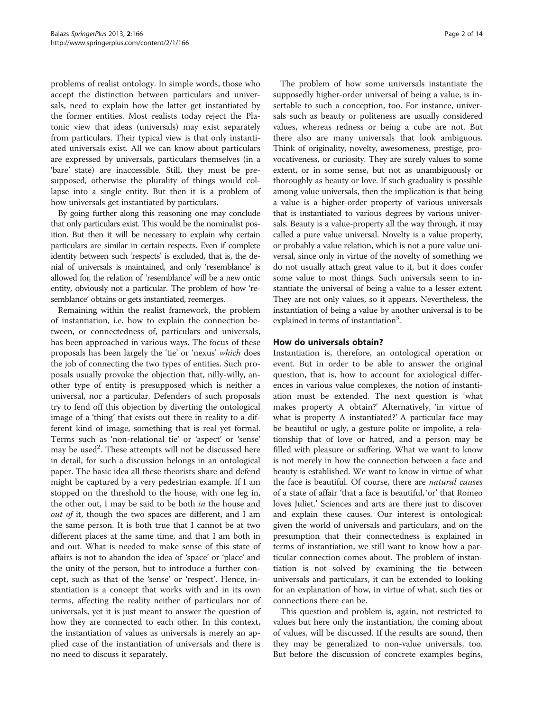problems of realist ontology. In simple words, those who accept the distinction between particulars and universals, need to explain how the latter get instantiated by the former entities. Most realists today reject the Platonic view that ideas (universals) may exist separately from particulars. Their typical view is that only instantiated universals exist. All we can know about particulars are expressed by universals, particulars themselves (in a 'bare' state) are inaccessible. Still, they must be presupposed, otherwise the plurality of things would collapse into a single entity. But then it is a problem of how universals get instantiated by particulars.

By going further along this reasoning one may conclude that only particulars exist. This would be the nominalist position. But then it will be necessary to explain why certain particulars are similar in certain respects. Even if complete identity between such 'respects' is excluded, that is, the denial of universals is maintained, and only 'resemblance' is allowed for, the relation of 'resemblance' will be a new ontic entity, obviously not a particular. The problem of how 'resemblance' obtains or gets instantiated, reemerges.

Remaining within the realist framework, the problem of instantiation, i.e. how to explain the connection between, or connectedness of, particulars and universals, has been approached in various ways. The focus of these proposals has been largely the 'tie' or 'nexus' which does the job of connecting the two types of entities. Such proposals usually provoke the objection that, nilly-willy, another type of entity is presupposed which is neither a universal, nor a particular. Defenders of such proposals try to fend off this objection by diverting the ontological image of a 'thing' that exists out there in reality to a different kind of image, something that is real yet formal. Terms such as 'non-relational tie' or 'aspect' or 'sense' may be used<sup>2</sup>. These attempts will not be discussed here in detail, for such a discussion belongs in an ontological paper. The basic idea all these theorists share and defend might be captured by a very pedestrian example. If I am stopped on the threshold to the house, with one leg in, the other out, I may be said to be both *in* the house and out of it, though the two spaces are different, and I am the same person. It is both true that I cannot be at two different places at the same time, and that I am both in and out. What is needed to make sense of this state of affairs is not to abandon the idea of 'space' or 'place' and the unity of the person, but to introduce a further concept, such as that of the 'sense' or 'respect'. Hence, instantiation is a concept that works with and in its own terms, affecting the reality neither of particulars nor of universals, yet it is just meant to answer the question of how they are connected to each other. In this context, the instantiation of values as universals is merely an applied case of the instantiation of universals and there is no need to discuss it separately.

The problem of how some universals instantiate the supposedly higher-order universal of being a value, is insertable to such a conception, too. For instance, universals such as beauty or politeness are usually considered values, whereas redness or being a cube are not. But there also are many universals that look ambiguous. Think of originality, novelty, awesomeness, prestige, provocativeness, or curiosity. They are surely values to some extent, or in some sense, but not as unambiguously or thoroughly as beauty or love. If such graduality is possible among value universals, then the implication is that being a value is a higher-order property of various universals that is instantiated to various degrees by various universals. Beauty is a value-property all the way through, it may called a pure value universal. Novelty is a value property, or probably a value relation, which is not a pure value universal, since only in virtue of the novelty of something we do not usually attach great value to it, but it does confer some value to most things. Such universals seem to instantiate the universal of being a value to a lesser extent. They are not only values, so it appears. Nevertheless, the instantiation of being a value by another universal is to be explained in terms of instantiation<sup>3</sup>.

#### How do universals obtain?

Instantiation is, therefore, an ontological operation or event. But in order to be able to answer the original question, that is, how to account for axiological differences in various value complexes, the notion of instantiation must be extended. The next question is 'what makes property A obtain?' Alternatively, 'in virtue of what is property A instantiated?' A particular face may be beautiful or ugly, a gesture polite or impolite, a relationship that of love or hatred, and a person may be filled with pleasure or suffering. What we want to know is not merely in how the connection between a face and beauty is established. We want to know in virtue of what the face is beautiful. Of course, there are natural causes of a state of affair 'that a face is beautiful, 'or' that Romeo loves Juliet.' Sciences and arts are there just to discover and explain these causes. Our interest is ontological: given the world of universals and particulars, and on the presumption that their connectedness is explained in terms of instantiation, we still want to know how a particular connection comes about. The problem of instantiation is not solved by examining the tie between universals and particulars, it can be extended to looking for an explanation of how, in virtue of what, such ties or connections there can be.

This question and problem is, again, not restricted to values but here only the instantiation, the coming about of values, will be discussed. If the results are sound, then they may be generalized to non-value universals, too. But before the discussion of concrete examples begins,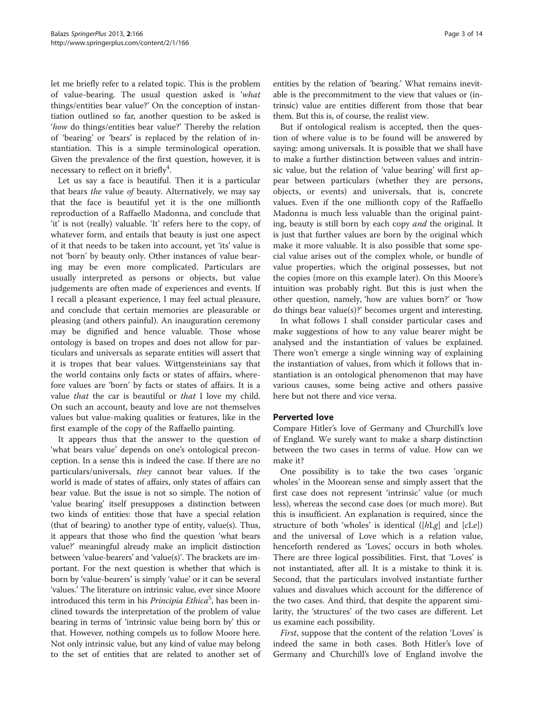let me briefly refer to a related topic. This is the problem of value-bearing. The usual question asked is 'what things/entities bear value?' On the conception of instantiation outlined so far, another question to be asked is 'how do things/entities bear value?' Thereby the relation of 'bearing' or 'bears' is replaced by the relation of instantiation. This is a simple terminological operation. Given the prevalence of the first question, however, it is necessary to reflect on it briefly $^4$ .

Let us say a face is beautiful. Then it is a particular that bears the value of beauty. Alternatively, we may say that the face is beautiful yet it is the one millionth reproduction of a Raffaello Madonna, and conclude that 'it' is not (really) valuable. 'It' refers here to the copy, of whatever form, and entails that beauty is just one aspect of it that needs to be taken into account, yet 'its' value is not 'born' by beauty only. Other instances of value bearing may be even more complicated. Particulars are usually interpreted as persons or objects, but value judgements are often made of experiences and events. If I recall a pleasant experience, I may feel actual pleasure, and conclude that certain memories are pleasurable or pleasing (and others painful). An inauguration ceremony may be dignified and hence valuable. Those whose ontology is based on tropes and does not allow for particulars and universals as separate entities will assert that it is tropes that bear values. Wittgensteinians say that the world contains only facts or states of affairs, wherefore values are 'born' by facts or states of affairs. It is a value *that* the car is beautiful or *that* I love my child. On such an account, beauty and love are not themselves values but value-making qualities or features, like in the first example of the copy of the Raffaello painting.

It appears thus that the answer to the question of 'what bears value' depends on one's ontological preconception. In a sense this is indeed the case. If there are no particulars/universals, they cannot bear values. If the world is made of states of affairs, only states of affairs can bear value. But the issue is not so simple. The notion of 'value bearing' itself presupposes a distinction between two kinds of entities: those that have a special relation (that of bearing) to another type of entity, value(s). Thus, it appears that those who find the question 'what bears value?' meaningful already make an implicit distinction between 'value-bearers' and 'value(s)'. The brackets are important. For the next question is whether that which is born by 'value-bearers' is simply 'value' or it can be several 'values.' The literature on intrinsic value, ever since Moore introduced this term in his *Principia Ethica<sup>5</sup>*, has been inclined towards the interpretation of the problem of value bearing in terms of 'intrinsic value being born by' this or that. However, nothing compels us to follow Moore here. Not only intrinsic value, but any kind of value may belong to the set of entities that are related to another set of

entities by the relation of 'bearing.' What remains inevitable is the precommitment to the view that values or (intrinsic) value are entities different from those that bear them. But this is, of course, the realist view.

But if ontological realism is accepted, then the question of where value is to be found will be answered by saying: among universals. It is possible that we shall have to make a further distinction between values and intrinsic value, but the relation of 'value bearing' will first appear between particulars (whether they are persons, objects, or events) and universals, that is, concrete values. Even if the one millionth copy of the Raffaello Madonna is much less valuable than the original painting, beauty is still born by each copy and the original. It is just that further values are born by the original which make it more valuable. It is also possible that some special value arises out of the complex whole, or bundle of value properties, which the original possesses, but not the copies (more on this example later). On this Moore's intuition was probably right. But this is just when the other question, namely, 'how are values born?' or 'how do things bear value(s)?' becomes urgent and interesting.

In what follows I shall consider particular cases and make suggestions of how to any value bearer might be analysed and the instantiation of values be explained. There won't emerge a single winning way of explaining the instantiation of values, from which it follows that instantiation is an ontological phenomenon that may have various causes, some being active and others passive here but not there and vice versa.

#### Perverted love

Compare Hitler's love of Germany and Churchill's love of England. We surely want to make a sharp distinction between the two cases in terms of value. How can we make it?

One possibility is to take the two cases 'organic wholes' in the Moorean sense and simply assert that the first case does not represent 'intrinsic' value (or much less), whereas the second case does (or much more). But this is insufficient. An explanation is required, since the structure of both 'wholes' is identical ([hLg] and [cLe]) and the universal of Love which is a relation value, henceforth rendered as 'Loves', occurs in both wholes. There are three logical possibilities. First, that 'Loves' is not instantiated, after all. It is a mistake to think it is. Second, that the particulars involved instantiate further values and disvalues which account for the difference of the two cases. And third, that despite the apparent similarity, the 'structures' of the two cases are different. Let us examine each possibility.

First, suppose that the content of the relation 'Loves' is indeed the same in both cases. Both Hitler's love of Germany and Churchill's love of England involve the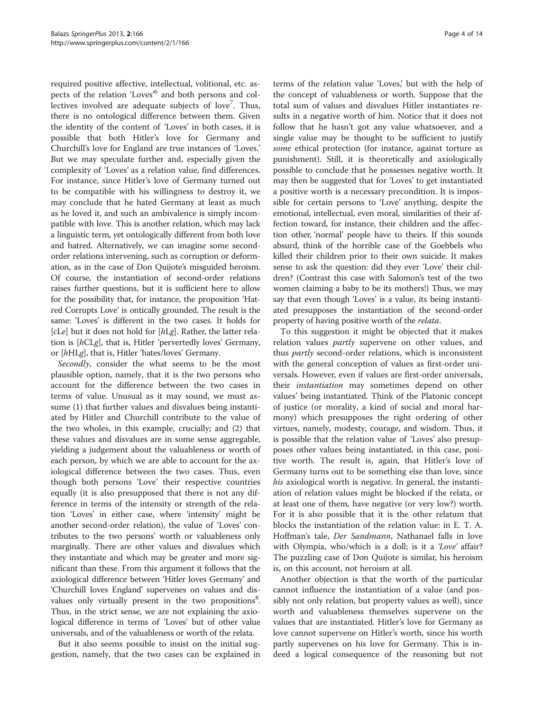required positive affective, intellectual, volitional, etc. aspects of the relation 'Loves' <sup>6</sup> and both persons and collectives involved are adequate subjects of love<sup>7</sup>. Thus, there is no ontological difference between them. Given the identity of the content of 'Loves' in both cases, it is possible that both Hitler's love for Germany and Churchill's love for England are true instances of 'Loves.' But we may speculate further and, especially given the complexity of 'Loves' as a relation value, find differences. For instance, since Hitler's love of Germany turned out to be compatible with his willingness to destroy it, we may conclude that he hated Germany at least as much as he loved it, and such an ambivalence is simply incompatible with love. This is another relation, which may lack a linguistic term, yet ontologically different from both love and hatred. Alternatively, we can imagine some secondorder relations intervening, such as corruption or deformation, as in the case of Don Quijote's misguided heroism. Of course, the instantiation of second-order relations raises further questions, but it is sufficient here to allow for the possibility that, for instance, the proposition 'Hatred Corrupts Love' is ontically grounded. The result is the same: 'Loves' is different in the two cases. It holds for [ $cLe$ ] but it does not hold for [ $hLg$ ]. Rather, the latter relation is [hCLg], that is, Hitler 'pervertedly loves' Germany, or [hHLg], that is, Hitler 'hates/loves' Germany.

Secondly, consider the what seems to be the most plausible option, namely, that it is the two persons who account for the difference between the two cases in terms of value. Unusual as it may sound, we must assume (1) that further values and disvalues being instantiated by Hitler and Churchill contribute to the value of the two wholes, in this example, crucially; and (2) that these values and disvalues are in some sense aggregable, yielding a judgement about the valuableness or worth of each person, by which we are able to account for the axiological difference between the two cases. Thus, even though both persons 'Love' their respective countries equally (it is also presupposed that there is not any difference in terms of the intensity or strength of the relation 'Loves' in either case, where 'intensity' might be another second-order relation), the value of 'Loves' contributes to the two persons' worth or valuableness only marginally. There are other values and disvalues which they instantiate and which may be greater and more significant than these. From this argument it follows that the axiological difference between 'Hitler loves Germany' and 'Churchill loves England' supervenes on values and disvalues only virtually present in the two propositions<sup>8</sup>. Thus, in the strict sense, we are not explaining the axiological difference in terms of 'Loves' but of other value universals, and of the valuableness or worth of the relata.

But it also seems possible to insist on the initial suggestion, namely, that the two cases can be explained in

terms of the relation value 'Loves,' but with the help of the concept of valuableness or worth. Suppose that the total sum of values and disvalues Hitler instantiates results in a negative worth of him. Notice that it does not follow that he hasn't got any value whatsoever, and a single value may be thought to be sufficient to justify some ethical protection (for instance, against torture as punishment). Still, it is theoretically and axiologically possible to conclude that he possesses negative worth. It may then be suggested that for 'Loves' to get instantiated a positive worth is a necessary precondition. It is impossible for certain persons to 'Love' anything, despite the emotional, intellectual, even moral, similarities of their affection toward, for instance, their children and the affection other, 'normal' people have to theirs. If this sounds absurd, think of the horrible case of the Goebbels who killed their children prior to their own suicide. It makes sense to ask the question: did they ever 'Love' their children? (Contrast this case with Salomon's test of the two women claiming a baby to be its mothers!) Thus, we may say that even though 'Loves' is a value, its being instantiated presupposes the instantiation of the second-order property of having positive worth of the relata.

To this suggestion it might be objected that it makes relation values *partly* supervene on other values, and thus *partly* second-order relations, which is inconsistent with the general conception of values as first-order universals. However, even if values are first-order universals, their instantiation may sometimes depend on other values' being instantiated. Think of the Platonic concept of justice (or morality, a kind of social and moral harmony) which presupposes the right ordering of other virtues, namely, modesty, courage, and wisdom. Thus, it is possible that the relation value of 'Loves' also presupposes other values being instantiated, in this case, positive worth. The result is, again, that Hitler's love of Germany turns out to be something else than love, since his axiological worth is negative. In general, the instantiation of relation values might be blocked if the relata, or at least one of them, have negative (or very low?) worth. For it is also possible that it is the other relatum that blocks the instantiation of the relation value: in E. T. A. Hoffman's tale, Der Sandmann, Nathanael falls in love with Olympia, who/which is a doll; is it a 'Love' affair? The puzzling case of Don Quijote is similar, his heroism is, on this account, not heroism at all.

Another objection is that the worth of the particular cannot influence the instantiation of a value (and possibly not only relation, but property values as well), since worth and valuableness themselves supervene on the values that are instantiated. Hitler's love for Germany as love cannot supervene on Hitler's worth, since his worth partly supervenes on his love for Germany. This is indeed a logical consequence of the reasoning but not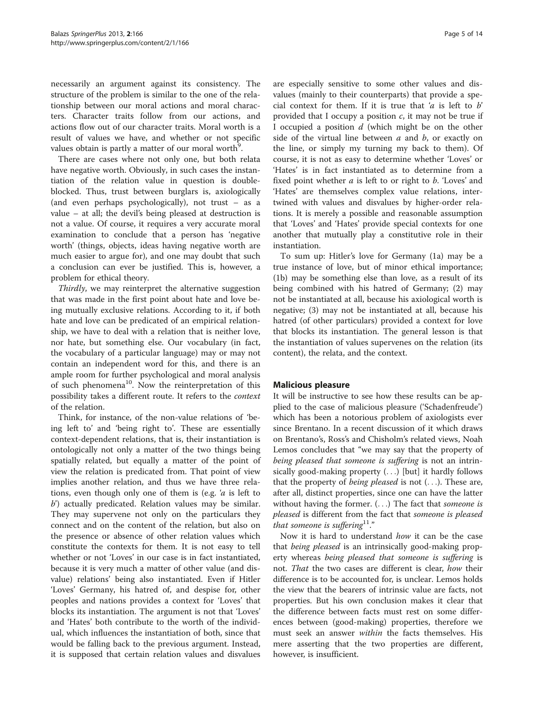necessarily an argument against its consistency. The structure of the problem is similar to the one of the relationship between our moral actions and moral characters. Character traits follow from our actions, and actions flow out of our character traits. Moral worth is a result of values we have, and whether or not specific values obtain is partly a matter of our moral worth $^9$ .

There are cases where not only one, but both relata have negative worth. Obviously, in such cases the instantiation of the relation value in question is doubleblocked. Thus, trust between burglars is, axiologically (and even perhaps psychologically), not trust – as a value – at all; the devil's being pleased at destruction is not a value. Of course, it requires a very accurate moral examination to conclude that a person has 'negative worth' (things, objects, ideas having negative worth are much easier to argue for), and one may doubt that such a conclusion can ever be justified. This is, however, a problem for ethical theory.

Thirdly, we may reinterpret the alternative suggestion that was made in the first point about hate and love being mutually exclusive relations. According to it, if both hate and love can be predicated of an empirical relationship, we have to deal with a relation that is neither love, nor hate, but something else. Our vocabulary (in fact, the vocabulary of a particular language) may or may not contain an independent word for this, and there is an ample room for further psychological and moral analysis of such phenomena<sup>10</sup>. Now the reinterpretation of this possibility takes a different route. It refers to the context of the relation.

Think, for instance, of the non-value relations of 'being left to' and 'being right to'. These are essentially context-dependent relations, that is, their instantiation is ontologically not only a matter of the two things being spatially related, but equally a matter of the point of view the relation is predicated from. That point of view implies another relation, and thus we have three relations, even though only one of them is (e.g. 'a is left to b') actually predicated. Relation values may be similar. They may supervene not only on the particulars they connect and on the content of the relation, but also on the presence or absence of other relation values which constitute the contexts for them. It is not easy to tell whether or not 'Loves' in our case is in fact instantiated, because it is very much a matter of other value (and disvalue) relations' being also instantiated. Even if Hitler 'Loves' Germany, his hatred of, and despise for, other peoples and nations provides a context for 'Loves' that blocks its instantiation. The argument is not that 'Loves' and 'Hates' both contribute to the worth of the individual, which influences the instantiation of both, since that would be falling back to the previous argument. Instead, it is supposed that certain relation values and disvalues

are especially sensitive to some other values and disvalues (mainly to their counterparts) that provide a special context for them. If it is true that ' $a$  is left to  $b'$ provided that I occupy a position  $c$ , it may not be true if I occupied a position  $d$  (which might be on the other side of the virtual line between  $a$  and  $b$ , or exactly on the line, or simply my turning my back to them). Of course, it is not as easy to determine whether 'Loves' or 'Hates' is in fact instantiated as to determine from a fixed point whether  $a$  is left to or right to  $b$ . 'Loves' and 'Hates' are themselves complex value relations, intertwined with values and disvalues by higher-order relations. It is merely a possible and reasonable assumption that 'Loves' and 'Hates' provide special contexts for one another that mutually play a constitutive role in their instantiation.

To sum up: Hitler's love for Germany (1a) may be a true instance of love, but of minor ethical importance; (1b) may be something else than love, as a result of its being combined with his hatred of Germany; (2) may not be instantiated at all, because his axiological worth is negative; (3) may not be instantiated at all, because his hatred (of other particulars) provided a context for love that blocks its instantiation. The general lesson is that the instantiation of values supervenes on the relation (its content), the relata, and the context.

#### Malicious pleasure

It will be instructive to see how these results can be applied to the case of malicious pleasure ('Schadenfreude') which has been a notorious problem of axiologists ever since Brentano. In a recent discussion of it which draws on Brentano's, Ross's and Chisholm's related views, Noah Lemos concludes that "we may say that the property of being pleased that someone is suffering is not an intrinsically good-making property (...) [but] it hardly follows that the property of *being pleased* is not  $(...)$ . These are, after all, distinct properties, since one can have the latter without having the former.  $(...)$  The fact that *someone is* pleased is different from the fact that someone is pleased that someone is suffering<sup>11</sup>."

Now it is hard to understand *how* it can be the case that being pleased is an intrinsically good-making property whereas being pleased that someone is suffering is not. *That* the two cases are different is clear, how their difference is to be accounted for, is unclear. Lemos holds the view that the bearers of intrinsic value are facts, not properties. But his own conclusion makes it clear that the difference between facts must rest on some differences between (good-making) properties, therefore we must seek an answer within the facts themselves. His mere asserting that the two properties are different, however, is insufficient.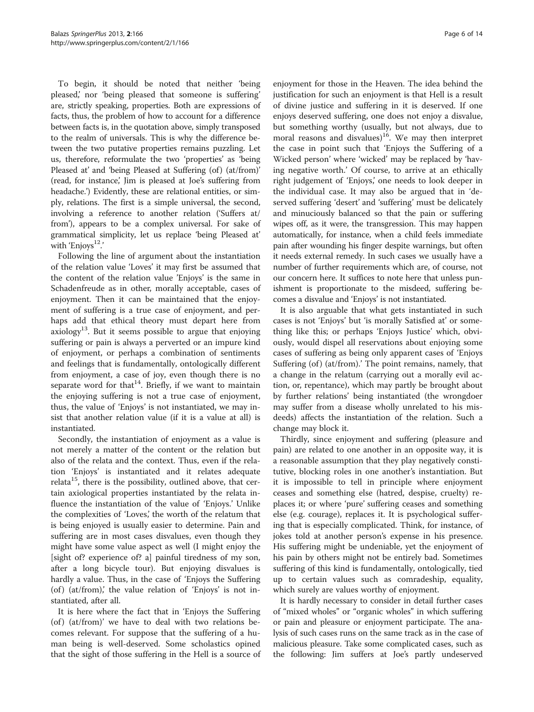To begin, it should be noted that neither 'being pleased,' nor 'being pleased that someone is suffering' are, strictly speaking, properties. Both are expressions of facts, thus, the problem of how to account for a difference between facts is, in the quotation above, simply transposed to the realm of universals. This is why the difference between the two putative properties remains puzzling. Let us, therefore, reformulate the two 'properties' as 'being Pleased at' and 'being Pleased at Suffering (of) (at/from)' (read, for instance,' Jim is pleased at Joe's suffering from headache.') Evidently, these are relational entities, or simply, relations. The first is a simple universal, the second, involving a reference to another relation ('Suffers at/ from'), appears to be a complex universal. For sake of grammatical simplicity, let us replace 'being Pleased at' with 'Enjoys $^{12}$ .'

Following the line of argument about the instantiation of the relation value 'Loves' it may first be assumed that the content of the relation value 'Enjoys' is the same in Schadenfreude as in other, morally acceptable, cases of enjoyment. Then it can be maintained that the enjoyment of suffering is a true case of enjoyment, and perhaps add that ethical theory must depart here from axiology<sup>13</sup>. But it seems possible to argue that enjoying suffering or pain is always a perverted or an impure kind of enjoyment, or perhaps a combination of sentiments and feelings that is fundamentally, ontologically different from enjoyment, a case of joy, even though there is no separate word for that<sup>14</sup>. Briefly, if we want to maintain the enjoying suffering is not a true case of enjoyment, thus, the value of 'Enjoys' is not instantiated, we may insist that another relation value (if it is a value at all) is instantiated.

Secondly, the instantiation of enjoyment as a value is not merely a matter of the content or the relation but also of the relata and the context. Thus, even if the relation 'Enjoys' is instantiated and it relates adequate relata<sup>15</sup>, there is the possibility, outlined above, that certain axiological properties instantiated by the relata influence the instantiation of the value of 'Enjoys.' Unlike the complexities of 'Loves,' the worth of the relatum that is being enjoyed is usually easier to determine. Pain and suffering are in most cases disvalues, even though they might have some value aspect as well (I might enjoy the [sight of? experience of? a] painful tiredness of my son, after a long bicycle tour). But enjoying disvalues is hardly a value. Thus, in the case of 'Enjoys the Suffering (of)  $(at/from)$ , the value relation of 'Enjoys' is not instantiated, after all.

It is here where the fact that in 'Enjoys the Suffering (of)  $(at/from)'$  we have to deal with two relations becomes relevant. For suppose that the suffering of a human being is well-deserved. Some scholastics opined that the sight of those suffering in the Hell is a source of

enjoyment for those in the Heaven. The idea behind the justification for such an enjoyment is that Hell is a result of divine justice and suffering in it is deserved. If one enjoys deserved suffering, one does not enjoy a disvalue, but something worthy (usually, but not always, due to moral reasons and disvalues)<sup>16</sup>. We may then interpret the case in point such that 'Enjoys the Suffering of a Wicked person' where 'wicked' may be replaced by 'having negative worth.' Of course, to arrive at an ethically right judgement of 'Enjoys,' one needs to look deeper in the individual case. It may also be argued that in 'deserved suffering 'desert' and 'suffering' must be delicately and minuciously balanced so that the pain or suffering wipes off, as it were, the transgression. This may happen automatically, for instance, when a child feels immediate pain after wounding his finger despite warnings, but often it needs external remedy. In such cases we usually have a number of further requirements which are, of course, not our concern here. It suffices to note here that unless punishment is proportionate to the misdeed, suffering becomes a disvalue and 'Enjoys' is not instantiated.

It is also arguable that what gets instantiated in such cases is not 'Enjoys' but 'is morally Satisfied at' or something like this; or perhaps 'Enjoys Justice' which, obviously, would dispel all reservations about enjoying some cases of suffering as being only apparent cases of 'Enjoys Suffering (of) (at/from).' The point remains, namely, that a change in the relatum (carrying out a morally evil action, or, repentance), which may partly be brought about by further relations' being instantiated (the wrongdoer may suffer from a disease wholly unrelated to his misdeeds) affects the instantiation of the relation. Such a change may block it.

Thirdly, since enjoyment and suffering (pleasure and pain) are related to one another in an opposite way, it is a reasonable assumption that they play negatively constitutive, blocking roles in one another's instantiation. But it is impossible to tell in principle where enjoyment ceases and something else (hatred, despise, cruelty) replaces it; or where 'pure' suffering ceases and something else (e.g. courage), replaces it. It is psychological suffering that is especially complicated. Think, for instance, of jokes told at another person's expense in his presence. His suffering might be undeniable, yet the enjoyment of his pain by others might not be entirely bad. Sometimes suffering of this kind is fundamentally, ontologically, tied up to certain values such as comradeship, equality, which surely are values worthy of enjoyment.

It is hardly necessary to consider in detail further cases of "mixed wholes" or "organic wholes" in which suffering or pain and pleasure or enjoyment participate. The analysis of such cases runs on the same track as in the case of malicious pleasure. Take some complicated cases, such as the following: Jim suffers at Joe's partly undeserved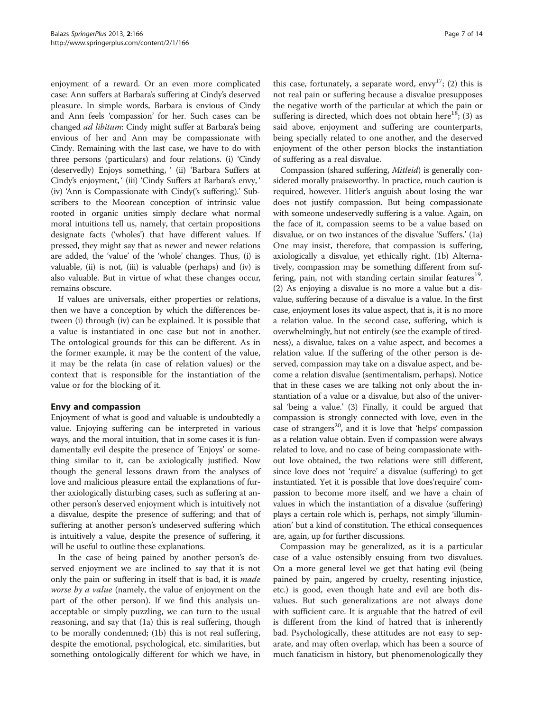enjoyment of a reward. Or an even more complicated case: Ann suffers at Barbara's suffering at Cindy's deserved pleasure. In simple words, Barbara is envious of Cindy and Ann feels 'compassion' for her. Such cases can be changed ad libitum: Cindy might suffer at Barbara's being envious of her and Ann may be compassionate with Cindy. Remaining with the last case, we have to do with three persons (particulars) and four relations. (i) 'Cindy (deservedly) Enjoys something, ' (ii) 'Barbara Suffers at Cindy's enjoyment, ' (iii) 'Cindy Suffers at Barbara's envy, ' (iv) 'Ann is Compassionate with Cindy('s suffering).' Subscribers to the Moorean conception of intrinsic value rooted in organic unities simply declare what normal moral intuitions tell us, namely, that certain propositions designate facts ('wholes') that have different values. If pressed, they might say that as newer and newer relations are added, the 'value' of the 'whole' changes. Thus, (i) is valuable, (ii) is not, (iii) is valuable (perhaps) and (iv) is also valuable. But in virtue of what these changes occur, remains obscure.

If values are universals, either properties or relations, then we have a conception by which the differences between (i) through (iv) can be explained. It is possible that a value is instantiated in one case but not in another. The ontological grounds for this can be different. As in the former example, it may be the content of the value, it may be the relata (in case of relation values) or the context that is responsible for the instantiation of the value or for the blocking of it.

#### Envy and compassion

Enjoyment of what is good and valuable is undoubtedly a value. Enjoying suffering can be interpreted in various ways, and the moral intuition, that in some cases it is fundamentally evil despite the presence of 'Enjoys' or something similar to it, can be axiologically justified. Now though the general lessons drawn from the analyses of love and malicious pleasure entail the explanations of further axiologically disturbing cases, such as suffering at another person's deserved enjoyment which is intuitively not a disvalue, despite the presence of suffering; and that of suffering at another person's undeserved suffering which is intuitively a value, despite the presence of suffering, it will be useful to outline these explanations.

In the case of being pained by another person's deserved enjoyment we are inclined to say that it is not only the pain or suffering in itself that is bad, it is made worse by a value (namely, the value of enjoyment on the part of the other person). If we find this analysis unacceptable or simply puzzling, we can turn to the usual reasoning, and say that (1a) this is real suffering, though to be morally condemned; (1b) this is not real suffering, despite the emotional, psychological, etc. similarities, but something ontologically different for which we have, in

this case, fortunately, a separate word, envy<sup>17</sup>; (2) this is not real pain or suffering because a disvalue presupposes the negative worth of the particular at which the pain or suffering is directed, which does not obtain here<sup>18</sup>; (3) as said above, enjoyment and suffering are counterparts, being specially related to one another, and the deserved enjoyment of the other person blocks the instantiation of suffering as a real disvalue.

Compassion (shared suffering, Mitleid) is generally considered morally praiseworthy. In practice, much caution is required, however. Hitler's anguish about losing the war does not justify compassion. But being compassionate with someone undeservedly suffering is a value. Again, on the face of it, compassion seems to be a value based on disvalue, or on two instances of the disvalue 'Suffers.' (1a) One may insist, therefore, that compassion is suffering, axiologically a disvalue, yet ethically right. (1b) Alternatively, compassion may be something different from suffering, pain, not with standing certain similar features<sup>19</sup>. (2) As enjoying a disvalue is no more a value but a disvalue, suffering because of a disvalue is a value. In the first case, enjoyment loses its value aspect, that is, it is no more a relation value. In the second case, suffering, which is overwhelmingly, but not entirely (see the example of tiredness), a disvalue, takes on a value aspect, and becomes a relation value. If the suffering of the other person is deserved, compassion may take on a disvalue aspect, and become a relation disvalue (sentimentalism, perhaps). Notice that in these cases we are talking not only about the instantiation of a value or a disvalue, but also of the universal 'being a value.' (3) Finally, it could be argued that compassion is strongly connected with love, even in the case of strangers $^{20}$ , and it is love that 'helps' compassion as a relation value obtain. Even if compassion were always related to love, and no case of being compassionate without love obtained, the two relations were still different, since love does not 'require' a disvalue (suffering) to get instantiated. Yet it is possible that love does'require' compassion to become more itself, and we have a chain of values in which the instantiation of a disvalue (suffering) plays a certain role which is, perhaps, not simply 'illumination' but a kind of constitution. The ethical consequences are, again, up for further discussions.

Compassion may be generalized, as it is a particular case of a value ostensibly ensuing from two disvalues. On a more general level we get that hating evil (being pained by pain, angered by cruelty, resenting injustice, etc.) is good, even though hate and evil are both disvalues. But such generalizations are not always done with sufficient care. It is arguable that the hatred of evil is different from the kind of hatred that is inherently bad. Psychologically, these attitudes are not easy to separate, and may often overlap, which has been a source of much fanaticism in history, but phenomenologically they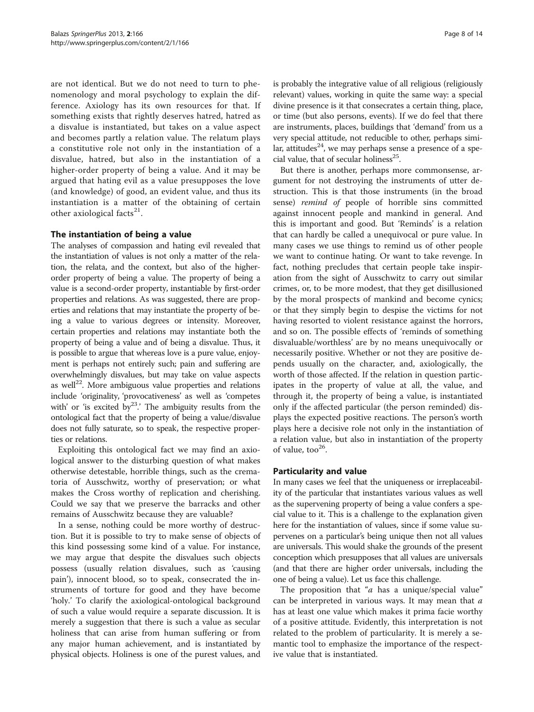are not identical. But we do not need to turn to phenomenology and moral psychology to explain the difference. Axiology has its own resources for that. If something exists that rightly deserves hatred, hatred as a disvalue is instantiated, but takes on a value aspect and becomes partly a relation value. The relatum plays a constitutive role not only in the instantiation of a disvalue, hatred, but also in the instantiation of a higher-order property of being a value. And it may be argued that hating evil as a value presupposes the love (and knowledge) of good, an evident value, and thus its instantiation is a matter of the obtaining of certain other axiological facts<sup>21</sup>.

#### The instantiation of being a value

The analyses of compassion and hating evil revealed that the instantiation of values is not only a matter of the relation, the relata, and the context, but also of the higherorder property of being a value. The property of being a value is a second-order property, instantiable by first-order properties and relations. As was suggested, there are properties and relations that may instantiate the property of being a value to various degrees or intensity. Moreover, certain properties and relations may instantiate both the property of being a value and of being a disvalue. Thus, it is possible to argue that whereas love is a pure value, enjoyment is perhaps not entirely such; pain and suffering are overwhelmingly disvalues, but may take on value aspects as well<sup>22</sup>. More ambiguous value properties and relations include 'originality, 'provocativeness' as well as 'competes with' or 'is excited by $23$ .' The ambiguity results from the ontological fact that the property of being a value/disvalue does not fully saturate, so to speak, the respective properties or relations.

Exploiting this ontological fact we may find an axiological answer to the disturbing question of what makes otherwise detestable, horrible things, such as the crematoria of Ausschwitz, worthy of preservation; or what makes the Cross worthy of replication and cherishing. Could we say that we preserve the barracks and other remains of Ausschwitz because they are valuable?

In a sense, nothing could be more worthy of destruction. But it is possible to try to make sense of objects of this kind possessing some kind of a value. For instance, we may argue that despite the disvalues such objects possess (usually relation disvalues, such as 'causing pain'), innocent blood, so to speak, consecrated the instruments of torture for good and they have become 'holy.' To clarify the axiological-ontological background of such a value would require a separate discussion. It is merely a suggestion that there is such a value as secular holiness that can arise from human suffering or from any major human achievement, and is instantiated by physical objects. Holiness is one of the purest values, and

is probably the integrative value of all religious (religiously relevant) values, working in quite the same way: a special divine presence is it that consecrates a certain thing, place, or time (but also persons, events). If we do feel that there are instruments, places, buildings that 'demand' from us a very special attitude, not reducible to other, perhaps similar, attitudes<sup>24</sup>, we may perhaps sense a presence of a special value, that of secular holiness<sup>25</sup>.

But there is another, perhaps more commonsense, argument for not destroying the instruments of utter destruction. This is that those instruments (in the broad sense) remind of people of horrible sins committed against innocent people and mankind in general. And this is important and good. But 'Reminds' is a relation that can hardly be called a unequivocal or pure value. In many cases we use things to remind us of other people we want to continue hating. Or want to take revenge. In fact, nothing precludes that certain people take inspiration from the sight of Ausschwitz to carry out similar crimes, or, to be more modest, that they get disillusioned by the moral prospects of mankind and become cynics; or that they simply begin to despise the victims for not having resorted to violent resistance against the horrors, and so on. The possible effects of 'reminds of something disvaluable/worthless' are by no means unequivocally or necessarily positive. Whether or not they are positive depends usually on the character, and, axiologically, the worth of those affected. If the relation in question participates in the property of value at all, the value, and through it, the property of being a value, is instantiated only if the affected particular (the person reminded) displays the expected positive reactions. The person's worth plays here a decisive role not only in the instantiation of a relation value, but also in instantiation of the property of value, too<sup>26</sup>.

#### Particularity and value

In many cases we feel that the uniqueness or irreplaceability of the particular that instantiates various values as well as the supervening property of being a value confers a special value to it. This is a challenge to the explanation given here for the instantiation of values, since if some value supervenes on a particular's being unique then not all values are universals. This would shake the grounds of the present conception which presupposes that all values are universals (and that there are higher order universals, including the one of being a value). Let us face this challenge.

The proposition that " $a$  has a unique/special value" can be interpreted in various ways. It may mean that  $a$ has at least one value which makes it prima facie worthy of a positive attitude. Evidently, this interpretation is not related to the problem of particularity. It is merely a semantic tool to emphasize the importance of the respective value that is instantiated.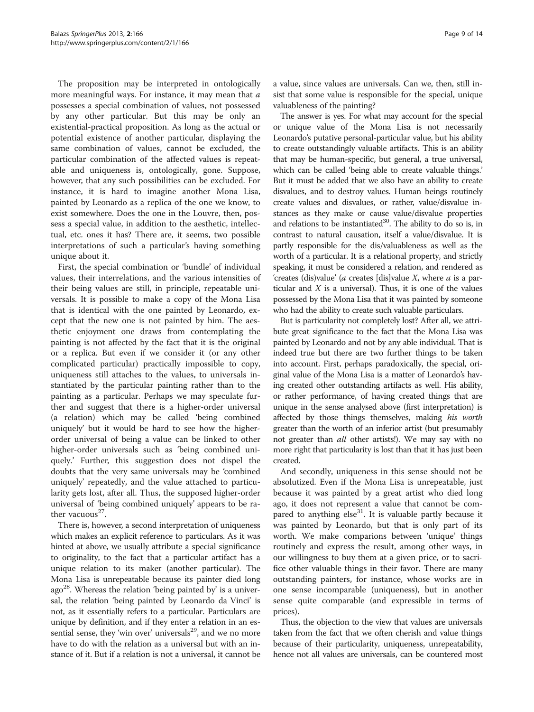The proposition may be interpreted in ontologically more meaningful ways. For instance, it may mean that a possesses a special combination of values, not possessed by any other particular. But this may be only an existential-practical proposition. As long as the actual or potential existence of another particular, displaying the same combination of values, cannot be excluded, the particular combination of the affected values is repeatable and uniqueness is, ontologically, gone. Suppose, however, that any such possibilities can be excluded. For instance, it is hard to imagine another Mona Lisa, painted by Leonardo as a replica of the one we know, to exist somewhere. Does the one in the Louvre, then, possess a special value, in addition to the aesthetic, intellectual, etc. ones it has? There are, it seems, two possible interpretations of such a particular's having something unique about it.

First, the special combination or 'bundle' of individual values, their interrelations, and the various intensities of their being values are still, in principle, repeatable universals. It is possible to make a copy of the Mona Lisa that is identical with the one painted by Leonardo, except that the new one is not painted by him. The aesthetic enjoyment one draws from contemplating the painting is not affected by the fact that it is the original or a replica. But even if we consider it (or any other complicated particular) practically impossible to copy, uniqueness still attaches to the values, to universals instantiated by the particular painting rather than to the painting as a particular. Perhaps we may speculate further and suggest that there is a higher-order universal (a relation) which may be called 'being combined uniquely' but it would be hard to see how the higherorder universal of being a value can be linked to other higher-order universals such as 'being combined uniquely.' Further, this suggestion does not dispel the doubts that the very same universals may be 'combined uniquely' repeatedly, and the value attached to particularity gets lost, after all. Thus, the supposed higher-order universal of 'being combined uniquely' appears to be rather vacuous $27$ .

There is, however, a second interpretation of uniqueness which makes an explicit reference to particulars. As it was hinted at above, we usually attribute a special significance to originality, to the fact that a particular artifact has a unique relation to its maker (another particular). The Mona Lisa is unrepeatable because its painter died long  $ago^{28}$ . Whereas the relation 'being painted by' is a universal, the relation 'being painted by Leonardo da Vinci' is not, as it essentially refers to a particular. Particulars are unique by definition, and if they enter a relation in an essential sense, they 'win over' universals $^{29}$ , and we no more have to do with the relation as a universal but with an instance of it. But if a relation is not a universal, it cannot be

a value, since values are universals. Can we, then, still insist that some value is responsible for the special, unique valuableness of the painting?

The answer is yes. For what may account for the special or unique value of the Mona Lisa is not necessarily Leonardo's putative personal-particular value, but his ability to create outstandingly valuable artifacts. This is an ability that may be human-specific, but general, a true universal, which can be called 'being able to create valuable things.' But it must be added that we also have an ability to create disvalues, and to destroy values. Human beings routinely create values and disvalues, or rather, value/disvalue instances as they make or cause value/disvalue properties and relations to be instantiated<sup>30</sup>. The ability to do so is, in contrast to natural causation, itself a value/disvalue. It is partly responsible for the dis/valuableness as well as the worth of a particular. It is a relational property, and strictly speaking, it must be considered a relation, and rendered as 'creates (dis)value' (*a* creates [dis]value *X*, where *a* is a particular and  $X$  is a universal). Thus, it is one of the values possessed by the Mona Lisa that it was painted by someone who had the ability to create such valuable particulars.

But is particularity not completely lost? After all, we attribute great significance to the fact that the Mona Lisa was painted by Leonardo and not by any able individual. That is indeed true but there are two further things to be taken into account. First, perhaps paradoxically, the special, original value of the Mona Lisa is a matter of Leonardo's having created other outstanding artifacts as well. His ability, or rather performance, of having created things that are unique in the sense analysed above (first interpretation) is affected by those things themselves, making his worth greater than the worth of an inferior artist (but presumably not greater than all other artists!). We may say with no more right that particularity is lost than that it has just been created.

And secondly, uniqueness in this sense should not be absolutized. Even if the Mona Lisa is unrepeatable, just because it was painted by a great artist who died long ago, it does not represent a value that cannot be compared to anything else $31$ . It is valuable partly because it was painted by Leonardo, but that is only part of its worth. We make comparions between 'unique' things routinely and express the result, among other ways, in our willingness to buy them at a given price, or to sacrifice other valuable things in their favor. There are many outstanding painters, for instance, whose works are in one sense incomparable (uniqueness), but in another sense quite comparable (and expressible in terms of prices).

Thus, the objection to the view that values are universals taken from the fact that we often cherish and value things because of their particularity, uniqueness, unrepeatability, hence not all values are universals, can be countered most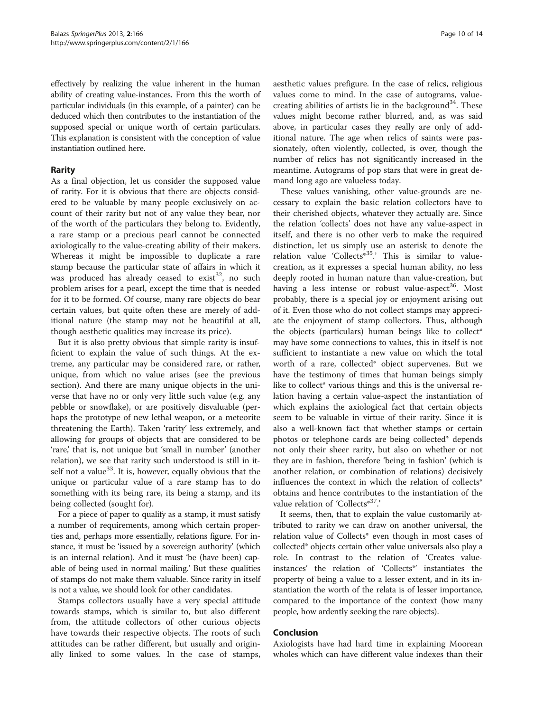effectively by realizing the value inherent in the human ability of creating value-instances. From this the worth of particular individuals (in this example, of a painter) can be deduced which then contributes to the instantiation of the supposed special or unique worth of certain particulars. This explanation is consistent with the conception of value instantiation outlined here.

#### Rarity

As a final objection, let us consider the supposed value of rarity. For it is obvious that there are objects considered to be valuable by many people exclusively on account of their rarity but not of any value they bear, nor of the worth of the particulars they belong to. Evidently, a rare stamp or a precious pearl cannot be connected axiologically to the value-creating ability of their makers. Whereas it might be impossible to duplicate a rare stamp because the particular state of affairs in which it was produced has already ceased to  $exist^{32}$ , no such problem arises for a pearl, except the time that is needed for it to be formed. Of course, many rare objects do bear certain values, but quite often these are merely of additional nature (the stamp may not be beautiful at all, though aesthetic qualities may increase its price).

But it is also pretty obvious that simple rarity is insufficient to explain the value of such things. At the extreme, any particular may be considered rare, or rather, unique, from which no value arises (see the previous section). And there are many unique objects in the universe that have no or only very little such value (e.g. any pebble or snowflake), or are positively disvaluable (perhaps the prototype of new lethal weapon, or a meteorite threatening the Earth). Taken 'rarity' less extremely, and allowing for groups of objects that are considered to be 'rare,' that is, not unique but 'small in number' (another relation), we see that rarity such understood is still in itself not a value<sup>33</sup>. It is, however, equally obvious that the unique or particular value of a rare stamp has to do something with its being rare, its being a stamp, and its being collected (sought for).

For a piece of paper to qualify as a stamp, it must satisfy a number of requirements, among which certain properties and, perhaps more essentially, relations figure. For instance, it must be 'issued by a sovereign authority' (which is an internal relation). And it must 'be (have been) capable of being used in normal mailing.' But these qualities of stamps do not make them valuable. Since rarity in itself is not a value, we should look for other candidates.

Stamps collectors usually have a very special attitude towards stamps, which is similar to, but also different from, the attitude collectors of other curious objects have towards their respective objects. The roots of such attitudes can be rather different, but usually and originally linked to some values. In the case of stamps,

aesthetic values prefigure. In the case of relics, religious values come to mind. In the case of autograms, valuecreating abilities of artists lie in the background<sup>34</sup>. These values might become rather blurred, and, as was said above, in particular cases they really are only of additional nature. The age when relics of saints were passionately, often violently, collected, is over, though the number of relics has not significantly increased in the meantime. Autograms of pop stars that were in great demand long ago are valueless today.

These values vanishing, other value-grounds are necessary to explain the basic relation collectors have to their cherished objects, whatever they actually are. Since the relation 'collects' does not have any value-aspect in itself, and there is no other verb to make the required distinction, let us simply use an asterisk to denote the relation value 'Collects<sup>\*35</sup>.' This is similar to valuecreation, as it expresses a special human ability, no less deeply rooted in human nature than value-creation, but having a less intense or robust value-aspect<sup>36</sup>. Most probably, there is a special joy or enjoyment arising out of it. Even those who do not collect stamps may appreciate the enjoyment of stamp collectors. Thus, although the objects (particulars) human beings like to collect\* may have some connections to values, this in itself is not sufficient to instantiate a new value on which the total worth of a rare, collected\* object supervenes. But we have the testimony of times that human beings simply like to collect\* various things and this is the universal relation having a certain value-aspect the instantiation of which explains the axiological fact that certain objects seem to be valuable in virtue of their rarity. Since it is also a well-known fact that whether stamps or certain photos or telephone cards are being collected\* depends not only their sheer rarity, but also on whether or not they are in fashion, therefore 'being in fashion' (which is another relation, or combination of relations) decisively influences the context in which the relation of collects\* obtains and hence contributes to the instantiation of the value relation of 'Collects\*37.'

It seems, then, that to explain the value customarily attributed to rarity we can draw on another universal, the relation value of Collects\* even though in most cases of collected\* objects certain other value universals also play a role. In contrast to the relation of 'Creates valueinstances' the relation of 'Collects\*' instantiates the property of being a value to a lesser extent, and in its instantiation the worth of the relata is of lesser importance, compared to the importance of the context (how many people, how ardently seeking the rare objects).

#### Conclusion

Axiologists have had hard time in explaining Moorean wholes which can have different value indexes than their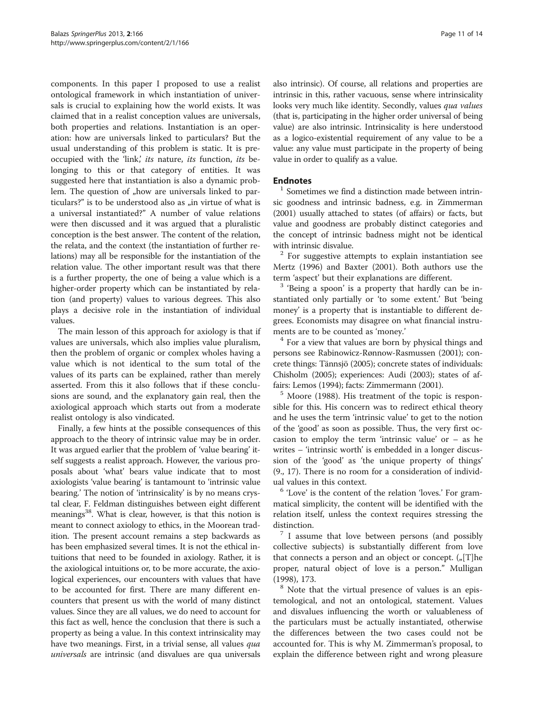components. In this paper I proposed to use a realist ontological framework in which instantiation of universals is crucial to explaining how the world exists. It was claimed that in a realist conception values are universals, both properties and relations. Instantiation is an operation: how are universals linked to particulars? But the usual understanding of this problem is static. It is preoccupied with the 'link', its nature, its function, its belonging to this or that category of entities. It was suggested here that instantiation is also a dynamic problem. The question of "how are universals linked to particulars?" is to be understood also as "in virtue of what is a universal instantiated?" A number of value relations were then discussed and it was argued that a pluralistic conception is the best answer. The content of the relation, the relata, and the context (the instantiation of further relations) may all be responsible for the instantiation of the relation value. The other important result was that there is a further property, the one of being a value which is a higher-order property which can be instantiated by relation (and property) values to various degrees. This also plays a decisive role in the instantiation of individual values.

The main lesson of this approach for axiology is that if values are universals, which also implies value pluralism, then the problem of organic or complex wholes having a value which is not identical to the sum total of the values of its parts can be explained, rather than merely asserted. From this it also follows that if these conclusions are sound, and the explanatory gain real, then the axiological approach which starts out from a moderate realist ontology is also vindicated.

Finally, a few hints at the possible consequences of this approach to the theory of intrinsic value may be in order. It was argued earlier that the problem of 'value bearing' itself suggests a realist approach. However, the various proposals about 'what' bears value indicate that to most axiologists 'value bearing' is tantamount to 'intrinsic value bearing.' The notion of 'intrinsicality' is by no means crystal clear, F. Feldman distinguishes between eight different meanings<sup>38</sup>. What is clear, however, is that this notion is meant to connect axiology to ethics, in the Moorean tradition. The present account remains a step backwards as has been emphasized several times. It is not the ethical intuitions that need to be founded in axiology. Rather, it is the axiological intuitions or, to be more accurate, the axiological experiences, our encounters with values that have to be accounted for first. There are many different encounters that present us with the world of many distinct values. Since they are all values, we do need to account for this fact as well, hence the conclusion that there is such a property as being a value. In this context intrinsicality may have two meanings. First, in a trivial sense, all values qua universals are intrinsic (and disvalues are qua universals

also intrinsic). Of course, all relations and properties are intrinsic in this, rather vacuous, sense where intrinsicality looks very much like identity. Secondly, values qua values (that is, participating in the higher order universal of being value) are also intrinsic. Intrinsicality is here understood as a logico-existential requirement of any value to be a value: any value must participate in the property of being value in order to qualify as a value.

**Endnotes** <sup>1</sup> Sometimes we find a distinction made between intrinsic goodness and intrinsic badness, e.g. in Zimmerman ([2001](#page-13-0)) usually attached to states (of affairs) or facts, but value and goodness are probably distinct categories and the concept of intrinsic badness might not be identical

with intrinsic disvalue.<br> $\frac{2}{3}$  For suggestive attempts to explain instantiation see Mertz [\(1996\)](#page-13-0) and Baxter ([2001](#page-12-0)). Both authors use the

term 'aspect' but their explanations are different.<br><sup>3</sup> 'Being a spoon' is a property that hardly can be instantiated only partially or 'to some extent.' But 'being money' is a property that is instantiable to different degrees. Economists may disagree on what financial instruments are to be counted as 'money.' <sup>4</sup> For a view that values are born by physical things and

persons see Rabinowicz-Rønnow-Rasmussen [\(2001\)](#page-13-0); concrete things: Tännsjö [\(2005](#page-13-0)); concrete states of individuals: Chisholm [\(2005](#page-12-0)); experiences: Audi [\(2003\)](#page-12-0); states of af-fairs: Lemos ([1994\)](#page-13-0); facts: Zimmermann [\(2001](#page-13-0)).<br><sup>5</sup> Moore ([1988](#page-13-0)). His treatment of the topic is respon-

sible for this. His concern was to redirect ethical theory and he uses the term 'intrinsic value' to get to the notion of the 'good' as soon as possible. Thus, the very first occasion to employ the term 'intrinsic value' or  $-$  as he writes – 'intrinsic worth' is embedded in a longer discussion of the 'good' as 'the unique property of things' (9., 17). There is no room for a consideration of individ-

ual values in this context. <sup>6</sup> 'Love' is the content of the relation 'loves.' For grammatical simplicity, the content will be identified with the relation itself, unless the context requires stressing the

distinction.  $\frac{7}{7}$  I assume that love between persons (and possibly collective subjects) is substantially different from love that connects a person and an object or concept.  $\left( \mathbf{F} \right)$  [T] he proper, natural object of love is a person." Mulligan

([1998\)](#page-13-0), 173.<br> $8\text{ Note that the virtual presence of values is an epis-}$ temological, and not an ontological, statement. Values and disvalues influencing the worth or valuableness of the particulars must be actually instantiated, otherwise the differences between the two cases could not be accounted for. This is why M. Zimmerman's proposal, to explain the difference between right and wrong pleasure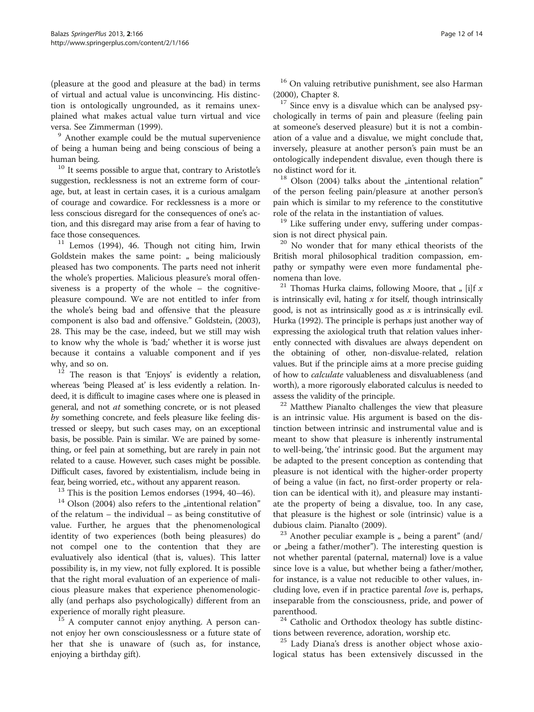(pleasure at the good and pleasure at the bad) in terms of virtual and actual value is unconvincing. His distinction is ontologically ungrounded, as it remains unexplained what makes actual value turn virtual and vice

versa. See Zimmerman ([1999](#page-13-0)).<br><sup>9</sup> Another example could be the mutual supervenience of being a human being and being conscious of being a

human being.<br><sup>10</sup> It seems possible to argue that, contrary to Aristotle's suggestion, recklessness is not an extreme form of courage, but, at least in certain cases, it is a curious amalgam of courage and cowardice. For recklessness is a more or less conscious disregard for the consequences of one's action, and this disregard may arise from a fear of having to face those consequences.<br><sup>11</sup> Lemos ([1994\)](#page-13-0), 46. Though not citing him, Irwin

Goldstein makes the same point: " being maliciously pleased has two components. The parts need not inherit the whole's properties. Malicious pleasure's moral offensiveness is a property of the whole – the cognitivepleasure compound. We are not entitled to infer from the whole's being bad and offensive that the pleasure component is also bad and offensive." Goldstein, ([2003](#page-12-0)), 28. This may be the case, indeed, but we still may wish to know why the whole is 'bad;' whether it is worse just because it contains a valuable component and if yes

why, and so on.<br> $12$  The reason is that 'Enjoys' is evidently a relation, whereas 'being Pleased at' is less evidently a relation. Indeed, it is difficult to imagine cases where one is pleased in general, and not at something concrete, or is not pleased by something concrete, and feels pleasure like feeling distressed or sleepy, but such cases may, on an exceptional basis, be possible. Pain is similar. We are pained by something, or feel pain at something, but are rarely in pain not related to a cause. However, such cases might be possible. Difficult cases, favored by existentialism, include being in

fear, being worried, etc., without any apparent reason.<br><sup>13</sup> This is the position Lemos endorses ([1994](#page-13-0), 40–46).<br><sup>14</sup> Olson [\(2004\)](#page-13-0) also refers to the "intentional relation" of the relatum – the individual – as being constitutive of value. Further, he argues that the phenomenological identity of two experiences (both being pleasures) do not compel one to the contention that they are evaluatively also identical (that is, values). This latter possibility is, in my view, not fully explored. It is possible that the right moral evaluation of an experience of malicious pleasure makes that experience phenomenologically (and perhaps also psychologically) different from an experience of morally right pleasure.<br><sup>15</sup> A computer cannot enjoy anything. A person can-

not enjoy her own consciouslessness or a future state of her that she is unaware of (such as, for instance, enjoying a birthday gift).

<sup>16</sup> On valuing retributive punishment, see also Harman

([2000\)](#page-13-0), Chapter 8.  $17$  Since envy is a disvalue which can be analysed psychologically in terms of pain and pleasure (feeling pain at someone's deserved pleasure) but it is not a combination of a value and a disvalue, we might conclude that, inversely, pleasure at another person's pain must be an ontologically independent disvalue, even though there is

no distinct word for it.<br> $18$  Olson [\(2004](#page-13-0)) talks about the "intentional relation" of the person feeling pain/pleasure at another person's pain which is similar to my reference to the constitutive role of the relata in the instantiation of values.<br><sup>19</sup> Like suffering under envy, suffering under compas-

sion is not direct physical pain. <sup>20</sup> No wonder that for many ethical theorists of the British moral philosophical tradition compassion, empathy or sympathy were even more fundamental phe-

nomena than love.<br><sup>21</sup> Thomas Hurka claims, following Moore, that " [i]f *x* is intrinsically evil, hating  $x$  for itself, though intrinsically good, is not as intrinsically good as  $x$  is intrinsically evil. Hurka ([1992](#page-13-0)). The principle is perhaps just another way of expressing the axiological truth that relation values inherently connected with disvalues are always dependent on the obtaining of other, non-disvalue-related, relation values. But if the principle aims at a more precise guiding of how to calculate valuableness and disvaluableness (and worth), a more rigorously elaborated calculus is needed to

assess the validity of the principle.<br><sup>22</sup> Matthew Pianalto challenges the view that pleasure is an intrinsic value. His argument is based on the distinction between intrinsic and instrumental value and is meant to show that pleasure is inherently instrumental to well-being, 'the' intrinsic good. But the argument may be adapted to the present conception as contending that pleasure is not identical with the higher-order property of being a value (in fact, no first-order property or relation can be identical with it), and pleasure may instantiate the property of being a disvalue, too. In any case, that pleasure is the highest or sole (intrinsic) value is a dubious claim. Pianalto [\(2009](#page-13-0)).  $23$  Another peculiar example is  $\mu$  being a parent" (and/

or "being a father/mother"). The interesting question is not whether parental (paternal, maternal) love is a value since love is a value, but whether being a father/mother, for instance, is a value not reducible to other values, including love, even if in practice parental love is, perhaps, inseparable from the consciousness, pride, and power of

parenthood.<br><sup>24</sup> Catholic and Orthodox theology has subtle distinctions between reverence, adoration, worship etc.<br><sup>25</sup> Lady Diana's dress is another object whose axio-

logical status has been extensively discussed in the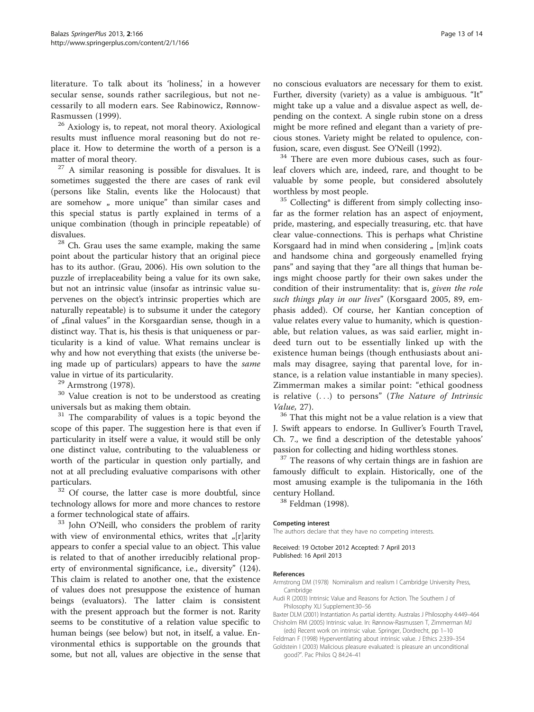<span id="page-12-0"></span>literature. To talk about its 'holiness,' in a however secular sense, sounds rather sacrilegious, but not necessarily to all modern ears. See Rabinowicz, Rønnow-Rasmussen ([1999\)](#page-13-0).<br><sup>26</sup> Axiology is, to repeat, not moral theory. Axiological

results must influence moral reasoning but do not replace it. How to determine the worth of a person is a

matter of moral theory.<br> $27$  A similar reasoning is possible for disvalues. It is sometimes suggested the there are cases of rank evil (persons like Stalin, events like the Holocaust) that are somehow " more unique" than similar cases and this special status is partly explained in terms of a unique combination (though in principle repeatable) of

disvalues.<br><sup>28</sup> Ch. Grau uses the same example, making the same point about the particular history that an original piece has to its author. (Grau, [2006](#page-13-0)). His own solution to the puzzle of irreplaceability being a value for its own sake, but not an intrinsic value (insofar as intrinsic value supervenes on the object's intrinsic properties which are naturally repeatable) is to subsume it under the category of "final values" in the Korsgaardian sense, though in a distinct way. That is, his thesis is that uniqueness or particularity is a kind of value. What remains unclear is why and how not everything that exists (the universe being made up of particulars) appears to have the same

value in virtue of its particularity.<br><sup>29</sup> Armstrong (1978).<br><sup>30</sup> Value creation is not to be understood as creating

universals but as making them obtain.<br><sup>31</sup> The comparability of values is a topic beyond the scope of this paper. The suggestion here is that even if particularity in itself were a value, it would still be only one distinct value, contributing to the valuableness or worth of the particular in question only partially, and not at all precluding evaluative comparisons with other

particulars. <sup>32</sup> Of course, the latter case is more doubtful, since technology allows for more and more chances to restore

a former technological state of affairs.<br><sup>33</sup> John O'Neill, who considers the problem of rarity with view of environmental ethics, writes that  $\sqrt{n}$ [r]arity appears to confer a special value to an object. This value is related to that of another irreducibly relational property of environmental significance, i.e., diversity" (124). This claim is related to another one, that the existence of values does not presuppose the existence of human beings (evaluators). The latter claim is consistent with the present approach but the former is not. Rarity seems to be constitutive of a relation value specific to human beings (see below) but not, in itself, a value. Environmental ethics is supportable on the grounds that some, but not all, values are objective in the sense that no conscious evaluators are necessary for them to exist. Further, diversity (variety) as a value is ambiguous. "It" might take up a value and a disvalue aspect as well, depending on the context. A single rubin stone on a dress might be more refined and elegant than a variety of precious stones. Variety might be related to opulence, con-

fusion, scare, even disgust. See O'Neill ([1992\)](#page-13-0).<br><sup>34</sup> There are even more dubious cases, such as fourleaf clovers which are, indeed, rare, and thought to be valuable by some people, but considered absolutely

worthless by most people.<br> $35$  Collecting\* is different from simply collecting insofar as the former relation has an aspect of enjoyment, pride, mastering, and especially treasuring, etc. that have clear value-connections. This is perhaps what Christine Korsgaard had in mind when considering  $_{n}$  [m]ink coats and handsome china and gorgeously enamelled frying pans" and saying that they "are all things that human beings might choose partly for their own sakes under the condition of their instrumentality: that is, given the role such things play in our lives" (Korsgaard [2005](#page-13-0), 89, emphasis added). Of course, her Kantian conception of value relates every value to humanity, which is questionable, but relation values, as was said earlier, might indeed turn out to be essentially linked up with the existence human beings (though enthusiasts about animals may disagree, saying that parental love, for instance, is a relation value instantiable in many species). Zimmerman makes a similar point: "ethical goodness is relative  $(...)$  to persons" (The Nature of Intrinsic

Value, 27).<br> $36$  That this might not be a value relation is a view that J. Swift appears to endorse. In Gulliver's Fourth Travel, Ch. 7., we find a description of the detestable yahoos' passion for collecting and hiding worthless stones.<br><sup>37</sup> The reasons of why certain things are in fashion are

famously difficult to explain. Historically, one of the most amusing example is the tulipomania in the 16th

century Holland.<br><sup>38</sup> Feldman (1998).

#### Competing interest

The authors declare that they have no competing interests.

Received: 19 October 2012 Accepted: 7 April 2013 Published: 16 April 2013

#### References

- Armstrong DM (1978) Nominalism and realism I Cambridge University Press, Cambridge
- Audi R (2003) Intrinsic Value and Reasons for Action. The Southern J of Philosophy XLI Supplement:30–56
- Baxter DLM (2001) Instantiation As partial identity. Australas J Philosophy 4:449–464 Chisholm RM (2005) Intrinsic value. In: Rønnow-Rasmussen T, Zimmerman MJ

(eds) Recent work on intrinsic value. Springer, Dordrecht, pp 1–10 Feldman F (1998) Hyperventilating about intrinsic value. J Ethics 2:339–354

Goldstein I (2003) Malicious pleasure evaluated: is pleasure an unconditional good?". Pac Philos Q 84:24–41